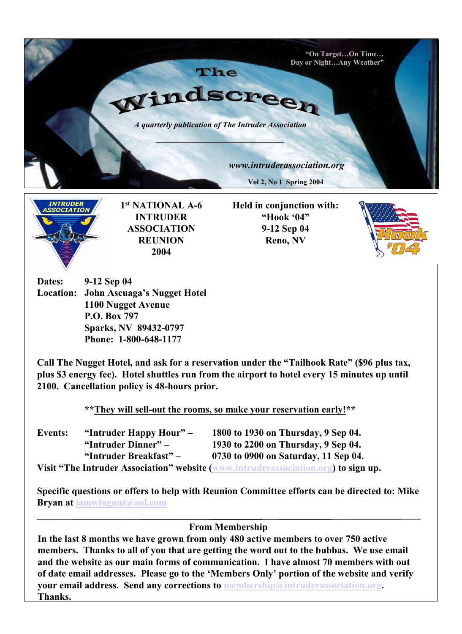



1 st NATIONAL A-6 INTRUDER ASSOCIATION **REUNION** 2004

Held in conjunction with: "Hook '04" 9-12 Sep 04 Reno, NV



Dates: 9-12 Sep 04 Location: John Ascuaga's Nugget Hotel 1100 Nugget Avenue P.O. Box 797 Sparks, NV 89432-0797 Phone: 1-800-648-1177

Call The Nugget Hotel, and ask for a reservation under the "Tailhook Rate" (\$96 plus tax, plus \$3 energy fee). Hotel shuttles run from the airport to hotel every 15 minutes up until 2100. Cancellation policy is 48-hours prior.

\*\*They will sell-out the rooms, so make your reservation early!\*\*

| Events: | "Intruder Happy Hour" – | 1800 to 1930 on Thursday, 9 Sep 04.                                                |
|---------|-------------------------|------------------------------------------------------------------------------------|
|         | "Intruder Dinner" –     | 1930 to 2200 on Thursday, 9 Sep 04.                                                |
|         | "Intruder Breakfast" –  | 0730 to 0900 on Saturday, 11 Sep 04.                                               |
|         |                         | Visit "The Intruder Association" website (www.intruderassociation.org) to sign up. |

Specific questions or offers to help with Reunion Committee efforts can be directed to: Mike Bryan at iamwingnut@aol.com

From Membership

In the last 8 months we have grown from only 480 active members to over 750 active members. Thanks to all of you that are getting the word out to the bubbas. We use email and the website as our main forms of communication. I have almost 70 members with out of date email addresses. Please go to the 'Members Only' portion of the website and verify your email address. Send any corrections to membership@intruderassociation.org. Thanks.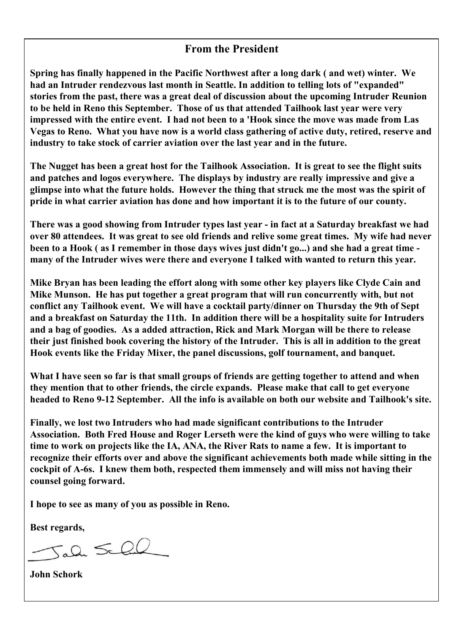## From the President

Spring has finally happened in the Pacific Northwest after a long dark ( and wet) winter. We had an Intruder rendezvous last month in Seattle. In addition to telling lots of "expanded" stories from the past, there was a great deal of discussion about the upcoming Intruder Reunion to be held in Reno this September. Those of us that attended Tailhook last year were very impressed with the entire event. I had not been to a 'Hook since the move was made from Las Vegas to Reno. What you have now is a world class gathering of active duty, retired, reserve and industry to take stock of carrier aviation over the last year and in the future.

The Nugget has been a great host for the Tailhook Association. It is great to see the flight suits and patches and logos everywhere. The displays by industry are really impressive and give a glimpse into what the future holds. However the thing that struck me the most was the spirit of pride in what carrier aviation has done and how important it is to the future of our county.

There was a good showing from Intruder types last year - in fact at a Saturday breakfast we had over 80 attendees. It was great to see old friends and relive some great times. My wife had never been to a Hook ( as I remember in those days wives just didn't go...) and she had a great time many of the Intruder wives were there and everyone I talked with wanted to return this year.

Mike Bryan has been leading the effort along with some other key players like Clyde Cain and Mike Munson. He has put together a great program that will run concurrently with, but not conflict any Tailhook event. We will have a cocktail party/dinner on Thursday the 9th of Sept and a breakfast on Saturday the 11th. In addition there will be a hospitality suite for Intruders and a bag of goodies. As a added attraction, Rick and Mark Morgan will be there to release their just finished book covering the history of the Intruder. This is all in addition to the great Hook events like the Friday Mixer, the panel discussions, golf tournament, and banquet.

What I have seen so far is that small groups of friends are getting together to attend and when they mention that to other friends, the circle expands. Please make that call to get everyone headed to Reno 9-12 September. All the info is available on both our website and Tailhook's site.

Finally, we lost two Intruders who had made significant contributions to the Intruder Association. Both Fred House and Roger Lerseth were the kind of guys who were willing to take time to work on projects like the IA, ANA, the River Rats to name a few. It is important to recognize their efforts over and above the significant achievements both made while sitting in the cockpit of A-6s. I knew them both, respected them immensely and will miss not having their counsel going forward.

I hope to see as many of you as possible in Reno.

Best regards,

 $5a2 \le 20$ 

John Schork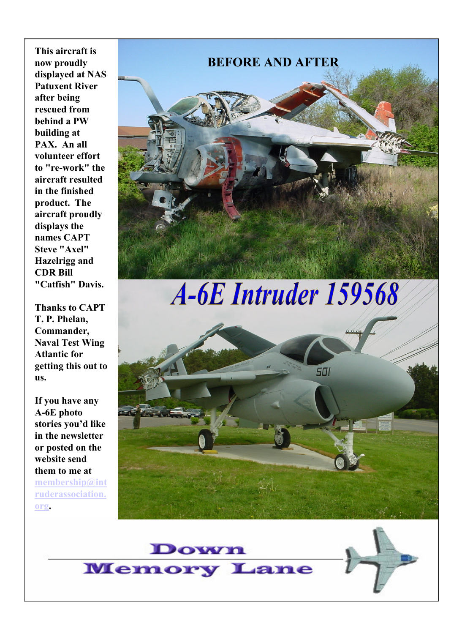This aircraft is now proudly displayed at NAS Patuxent River after being rescued from behind a PW building at PAX. An all volunteer effort to "re-work" the aircraft resulted in the finished product. The aircraft proudly displays the names CAPT Steve "Axel" Hazelrigg and CDR Bill "Catfish" Davis.

Thanks to CAPT T. P. Phelan, Commander, Naval Test Wing Atlantic for getting this out to us.

If you have any A-6E photo stories you'd like in the newsletter or posted on the website send them to me at membership@int ruderassociation. org.

# BEFORE AND AFTER

A-6E Intruder 159568





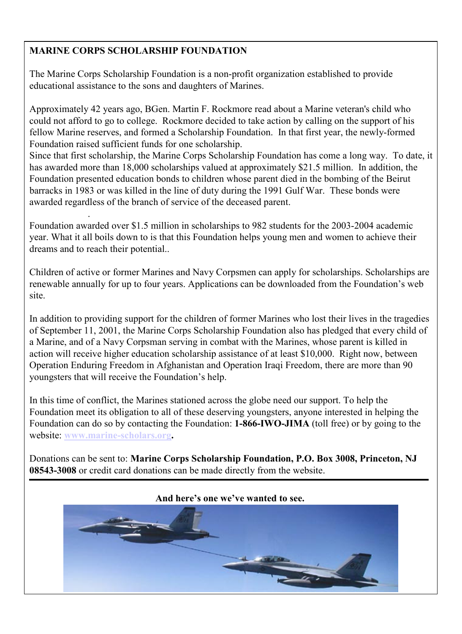## MARINE CORPS SCHOLARSHIP FOUNDATION

The Marine Corps Scholarship Foundation is a non-profit organization established to provide educational assistance to the sons and daughters of Marines.

Approximately 42 years ago, BGen. Martin F. Rockmore read about a Marine veteran's child who could not afford to go to college. Rockmore decided to take action by calling on the support of his fellow Marine reserves, and formed a Scholarship Foundation. In that first year, the newly-formed Foundation raised sufficient funds for one scholarship.

Since that first scholarship, the Marine Corps Scholarship Foundation has come a long way. To date, it has awarded more than 18,000 scholarships valued at approximately \$21.5 million. In addition, the Foundation presented education bonds to children whose parent died in the bombing of the Beirut barracks in 1983 or was killed in the line of duty during the 1991 Gulf War. These bonds were awarded regardless of the branch of service of the deceased parent.

. Foundation awarded over \$1.5 million in scholarships to 982 students for the 2003-2004 academic year. What it all boils down to is that this Foundation helps young men and women to achieve their dreams and to reach their potential..

Children of active or former Marines and Navy Corpsmen can apply for scholarships. Scholarships are renewable annually for up to four years. Applications can be downloaded from the Foundation's web site.

In addition to providing support for the children of former Marines who lost their lives in the tragedies of September 11, 2001, the Marine Corps Scholarship Foundation also has pledged that every child of a Marine, and of a Navy Corpsman serving in combat with the Marines, whose parent is killed in action will receive higher education scholarship assistance of at least \$10,000. Right now, between Operation Enduring Freedom in Afghanistan and Operation Iraqi Freedom, there are more than 90 youngsters that will receive the Foundation's help.

In this time of conflict, the Marines stationed across the globe need our support. To help the Foundation meet its obligation to all of these deserving youngsters, anyone interested in helping the Foundation can do so by contacting the Foundation: 1-866-IWO-JIMA (toll free) or by going to the website: www.marine-scholars.org.

Donations can be sent to: Marine Corps Scholarship Foundation, P.O. Box 3008, Princeton, NJ 08543-3008 or credit card donations can be made directly from the website.

# And here's one we've wanted to see.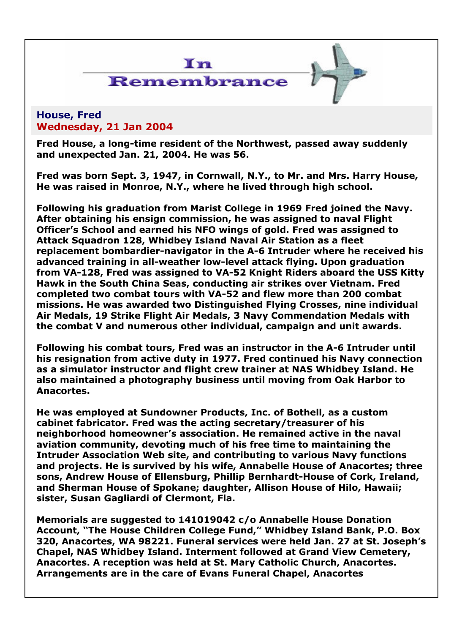

## House, Fred Wednesday, 21 Jan 2004

Fred House, a long-time resident of the Northwest, passed away suddenly and unexpected Jan. 21, 2004. He was 56.

Fred was born Sept. 3, 1947, in Cornwall, N.Y., to Mr. and Mrs. Harry House, He was raised in Monroe, N.Y., where he lived through high school.

Following his graduation from Marist College in 1969 Fred joined the Navy. After obtaining his ensign commission, he was assigned to naval Flight Officer's School and earned his NFO wings of gold. Fred was assigned to Attack Squadron 128, Whidbey Island Naval Air Station as a fleet replacement bombardier-navigator in the A-6 Intruder where he received his advanced training in all-weather low-level attack flying. Upon graduation from VA-128, Fred was assigned to VA-52 Knight Riders aboard the USS Kitty Hawk in the South China Seas, conducting air strikes over Vietnam. Fred completed two combat tours with VA-52 and flew more than 200 combat missions. He was awarded two Distinguished Flying Crosses, nine individual Air Medals, 19 Strike Flight Air Medals, 3 Navy Commendation Medals with the combat V and numerous other individual, campaign and unit awards.

Following his combat tours, Fred was an instructor in the A-6 Intruder until his resignation from active duty in 1977. Fred continued his Navy connection as a simulator instructor and flight crew trainer at NAS Whidbey Island. He also maintained a photography business until moving from Oak Harbor to Anacortes.

He was employed at Sundowner Products, Inc. of Bothell, as a custom cabinet fabricator. Fred was the acting secretary/treasurer of his neighborhood homeowner's association. He remained active in the naval aviation community, devoting much of his free time to maintaining the Intruder Association Web site, and contributing to various Navy functions and projects. He is survived by his wife, Annabelle House of Anacortes; three sons, Andrew House of Ellensburg, Phillip Bernhardt-House of Cork, Ireland, and Sherman House of Spokane; daughter, Allison House of Hilo, Hawaii; sister, Susan Gagliardi of Clermont, Fla.

Memorials are suggested to 141019042 c/o Annabelle House Donation Account, "The House Children College Fund," Whidbey Island Bank, P.O. Box 320, Anacortes, WA 98221. Funeral services were held Jan. 27 at St. Joseph's Chapel, NAS Whidbey Island. Interment followed at Grand View Cemetery, Anacortes. A reception was held at St. Mary Catholic Church, Anacortes. Arrangements are in the care of Evans Funeral Chapel, Anacortes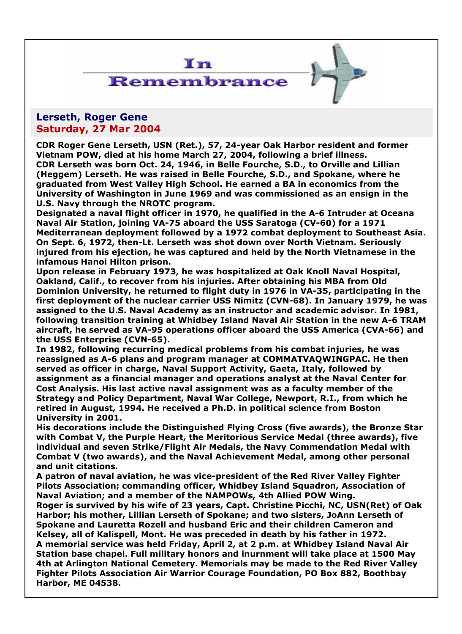

# Remembrance

## Lerseth, Roger Gene Saturday, 27 Mar 2004

CDR Roger Gene Lerseth, USN (Ret.), 57, 24-year Oak Harbor resident and former Vietnam POW, died at his home March 27, 2004, following a brief illness. CDR Lerseth was born Oct. 24, 1946, in Belle Fourche, S.D., to Orville and Lillian (Heggem) Lerseth. He was raised in Belle Fourche, S.D., and Spokane, where he graduated from West Valley High School. He earned a BA in economics from the University of Washington in June 1969 and was commissioned as an ensign in the U.S. Navy through the NROTC program.

Designated a naval flight officer in 1970, he qualified in the A-6 Intruder at Oceana Naval Air Station, joining VA-75 aboard the USS Saratoga (CV-60) for a 1971 Mediterranean deployment followed by a 1972 combat deployment to Southeast Asia. On Sept. 6, 1972, then-Lt. Lerseth was shot down over North Vietnam. Seriously injured from his ejection, he was captured and held by the North Vietnamese in the infamous Hanoi Hilton prison.

Upon release in February 1973, he was hospitalized at Oak Knoll Naval Hospital, Oakland, Calif., to recover from his injuries. After obtaining his MBA from Old Dominion University, he returned to flight duty in 1976 in VA-35, participating in the first deployment of the nuclear carrier USS Nimitz (CVN-68). In January 1979, he was assigned to the U.S. Naval Academy as an instructor and academic advisor. In 1981, following transition training at Whidbey Island Naval Air Station in the new A-6 TRAM aircraft, he served as VA-95 operations officer aboard the USS America (CVA-66) and the USS Enterprise (CVN-65).

In 1982, following recurring medical problems from his combat injuries, he was reassigned as A-6 plans and program manager at COMMATVAQWINGPAC. He then served as officer in charge, Naval Support Activity, Gaeta, Italy, followed by assignment as a financial manager and operations analyst at the Naval Center for Cost Analysis. His last active naval assignment was as a faculty member of the Strategy and Policy Department, Naval War College, Newport, R.I., from which he retired in August, 1994. He received a Ph.D. in political science from Boston University in 2001.

His decorations include the Distinguished Flying Cross (five awards), the Bronze Star with Combat V, the Purple Heart, the Meritorious Service Medal (three awards), five individual and seven Strike/Flight Air Medals, the Navy Commendation Medal with Combat V (two awards), and the Naval Achievement Medal, among other personal and unit citations.

A patron of naval aviation, he was vice-president of the Red River Valley Fighter Pilots Association; commanding officer, Whidbey Island Squadron, Association of Naval Aviation; and a member of the NAMPOWs, 4th Allied POW Wing.

Roger is survived by his wife of 23 years, Capt. Christine Picchi, NC, USN(Ret) of Oak Harbor; his mother, Lillian Lerseth of Spokane; and two sisters, JoAnn Lerseth of Spokane and Lauretta Rozell and husband Eric and their children Cameron and Kelsey, all of Kalispell, Mont. He was preceded in death by his father in 1972. A memorial service was held Friday, April 2, at 2 p.m. at Whidbey Island Naval Air Station base chapel. Full military honors and inurnment will take place at 1500 May 4th at Arlington National Cemetery. Memorials may be made to the Red River Valley Fighter Pilots Association Air Warrior Courage Foundation, PO Box 882, Boothbay Harbor, ME 04538.